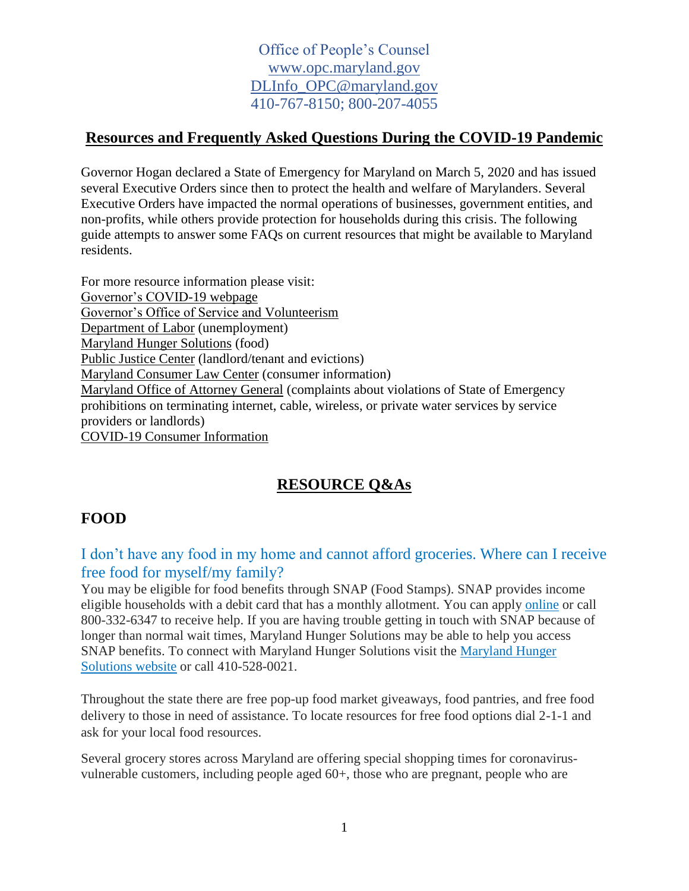## **Resources and Frequently Asked Questions During the COVID-19 Pandemic**

Governor Hogan declared a State of Emergency for Maryland on March 5, 2020 and has issued several Executive Orders since then to protect the health and welfare of Marylanders. Several Executive Orders have impacted the normal operations of businesses, government entities, and non-profits, while others provide protection for households during this crisis. The following guide attempts to answer some FAQs on current resources that might be available to Maryland residents.

For more resource information please visit: [Governor's COVID-19 webpage](https://governor.maryland.gov/marylandunites) [Governor's Office of Service and Volunteerism](http://www.gosv.maryland.gov/) [Department of Labor](https://www.dllr.state.md.us/employment/unemployment.shtml) (unemployment) [Maryland Hunger Solutions](https://www.mdhungersolutions.org/) (food) [Public Justice Center](https://www.publicjustice.org/en/coronavirus/) (landlord/tenant and evictions) [Maryland Consumer Law Center](https://www.marylandconsumer.com/) (consumer information) Maryland [Office of Attorney General](http://www.marylandattorneygeneral.gov/Pages/CPD/default.aspx) (complaints about violations of State of Emergency prohibitions on terminating internet, cable, wireless, or private water services by service providers or landlords) [COVID-19 Consumer Information](https://library.nclc.org/)

# **RESOURCE Q&As**

# **FOOD**

I don't have any food in my home and cannot afford groceries. Where can I receive free food for myself/my family?

You may be eligible for food benefits through SNAP (Food Stamps). SNAP provides income eligible households with a debit card that has a monthly allotment. You can apply [online](https://mydhrbenefits.dhr.state.md.us/dashboardClient/#/home) or call 800-332-6347 to receive help. If you are having trouble getting in touch with SNAP because of longer than normal wait times, Maryland Hunger Solutions may be able to help you access SNAP benefits. To connect with Maryland Hunger Solutions visit the [Maryland Hunger](https://www.mdhungersolutions.org/get-help/)  [Solutions website](https://www.mdhungersolutions.org/get-help/) or call 410-528-0021.

Throughout the state there are free pop-up food market giveaways, food pantries, and free food delivery to those in need of assistance. To locate resources for free food options dial 2-1-1 and ask for your local food resources.

Several grocery stores across Maryland are offering special shopping times for coronavirusvulnerable customers, including people aged 60+, those who are pregnant, people who are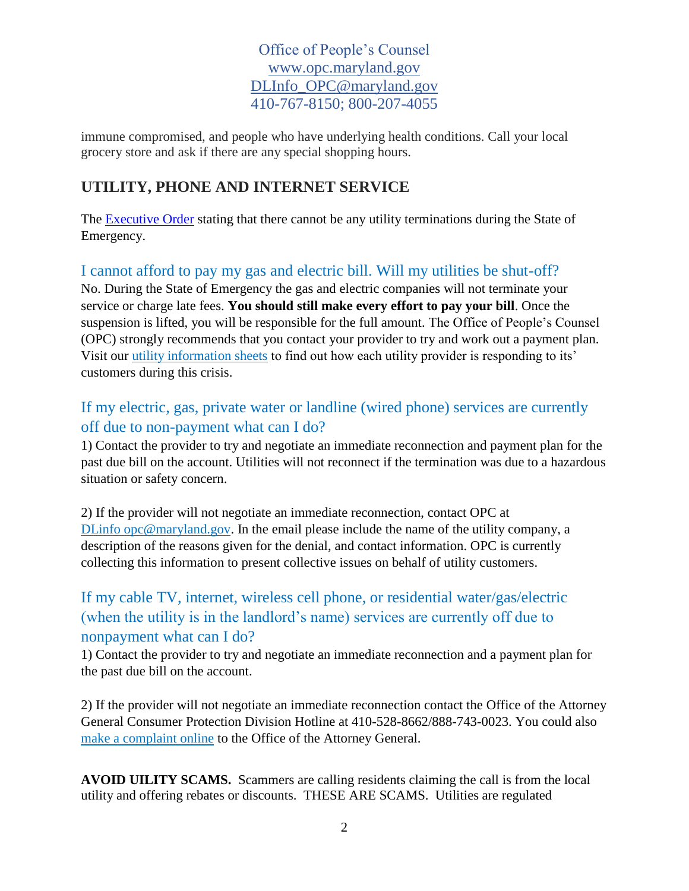immune compromised, and people who have underlying health conditions. Call your local grocery store and ask if there are any special shopping hours.

# **UTILITY, PHONE AND INTERNET SERVICE**

The [Executive Order](https://governor.maryland.gov/wp-content/uploads/2020/03/Executive-Order-Prohibit-Termination-of-Residential.pdf) stating that there cannot be any utility terminations during the State of Emergency.

# I cannot afford to pay my gas and electric bill. Will my utilities be shut-off?

No. During the State of Emergency the gas and electric companies will not terminate your service or charge late fees. **You should still make every effort to pay your bill**. Once the suspension is lifted, you will be responsible for the full amount. The Office of People's Counsel (OPC) strongly recommends that you contact your provider to try and work out a payment plan. Visit our [utility information sheets](http://www.opc.maryland.gov/Consumer-Corner/Publications#COVID-19%20Fact%20Sheets) to find out how each utility provider is responding to its' customers during this crisis.

## If my electric, gas, private water or landline (wired phone) services are currently off due to non-payment what can I do?

1) Contact the provider to try and negotiate an immediate reconnection and payment plan for the past due bill on the account. Utilities will not reconnect if the termination was due to a hazardous situation or safety concern.

2) If the provider will not negotiate an immediate reconnection, contact OPC at DLinfo opc@maryland.gov. In the email please include the name of the utility company, a description of the reasons given for the denial, and contact information. OPC is currently collecting this information to present collective issues on behalf of utility customers.

# If my cable TV, internet, wireless cell phone, or residential water/gas/electric (when the utility is in the landlord's name) services are currently off due to nonpayment what can I do?

1) Contact the provider to try and negotiate an immediate reconnection and a payment plan for the past due bill on the account.

2) If the provider will not negotiate an immediate reconnection contact the Office of the Attorney General Consumer Protection Division Hotline at 410-528-8662/888-743-0023. You could also [make a complaint online](http://www.marylandattorneygeneral.gov/Pages/CPD/Complaint.aspx) to the Office of the Attorney General.

**AVOID UILITY SCAMS.** Scammers are calling residents claiming the call is from the local utility and offering rebates or discounts. THESE ARE SCAMS. Utilities are regulated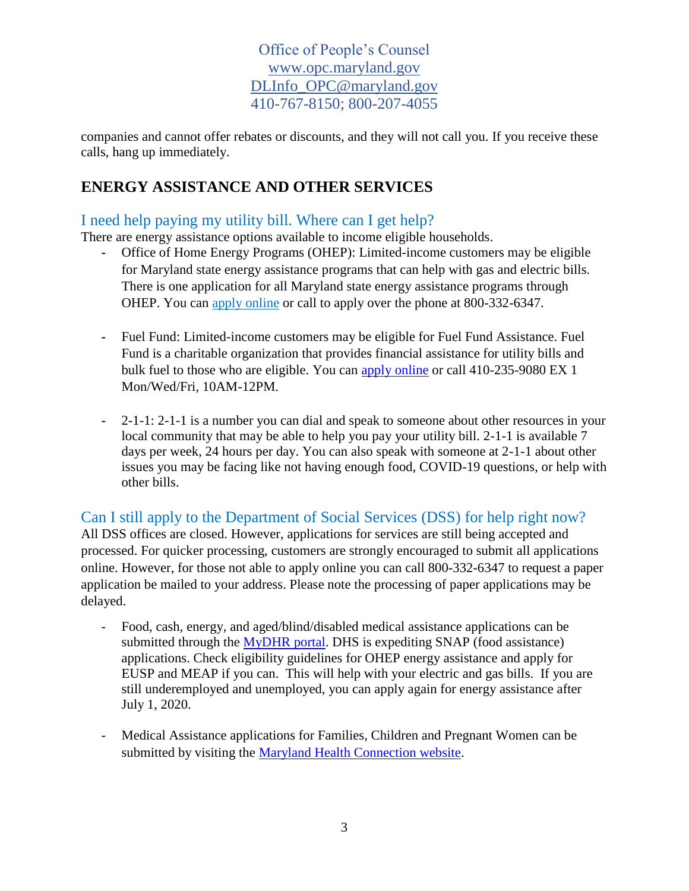companies and cannot offer rebates or discounts, and they will not call you. If you receive these calls, hang up immediately.

# **ENERGY ASSISTANCE AND OTHER SERVICES**

#### I need help paying my utility bill. Where can I get help?

There are energy assistance options available to income eligible households.

- **-** Office of Home Energy Programs (OHEP): Limited-income customers may be eligible for Maryland state energy assistance programs that can help with gas and electric bills. There is one application for all Maryland state energy assistance programs through OHEP. You can [apply online](http://www.mydhrbenefits.dhr.state.md.us/) or call to apply over the phone at 800-332-6347.
- **-** Fuel Fund: Limited-income customers may be eligible for Fuel Fund Assistance. Fuel Fund is a charitable organization that provides financial assistance for utility bills and bulk fuel to those who are eligible. You can [apply online](https://fuelfundmaryland.org/apply) or call 410-235-9080 EX 1 Mon/Wed/Fri, 10AM-12PM.
- **-** 2-1-1: 2-1-1 is a number you can dial and speak to someone about other resources in your local community that may be able to help you pay your utility bill. 2-1-1 is available 7 days per week, 24 hours per day. You can also speak with someone at 2-1-1 about other issues you may be facing like not having enough food, COVID-19 questions, or help with other bills.

Can I still apply to the Department of Social Services (DSS) for help right now? All DSS offices are closed. However, applications for services are still being accepted and processed. For quicker processing, customers are strongly encouraged to submit all applications online. However, for those not able to apply online you can call 800-332-6347 to request a paper application be mailed to your address. Please note the processing of paper applications may be delayed.

- Food, cash, energy, and aged/blind/disabled medical assistance applications can be submitted through the [MyDHR portal.](https://mydhrbenefits.dhr.state.md.us/dashboardClient/#/home) DHS is expediting SNAP (food assistance) applications. Check eligibility guidelines for OHEP energy assistance and apply for EUSP and MEAP if you can. This will help with your electric and gas bills. If you are still underemployed and unemployed, you can apply again for energy assistance after July 1, 2020.
- Medical Assistance applications for Families, Children and Pregnant Women can be submitted by visiting the [Maryland Health Connection website.](https://www.marylandhealthconnection.gov/)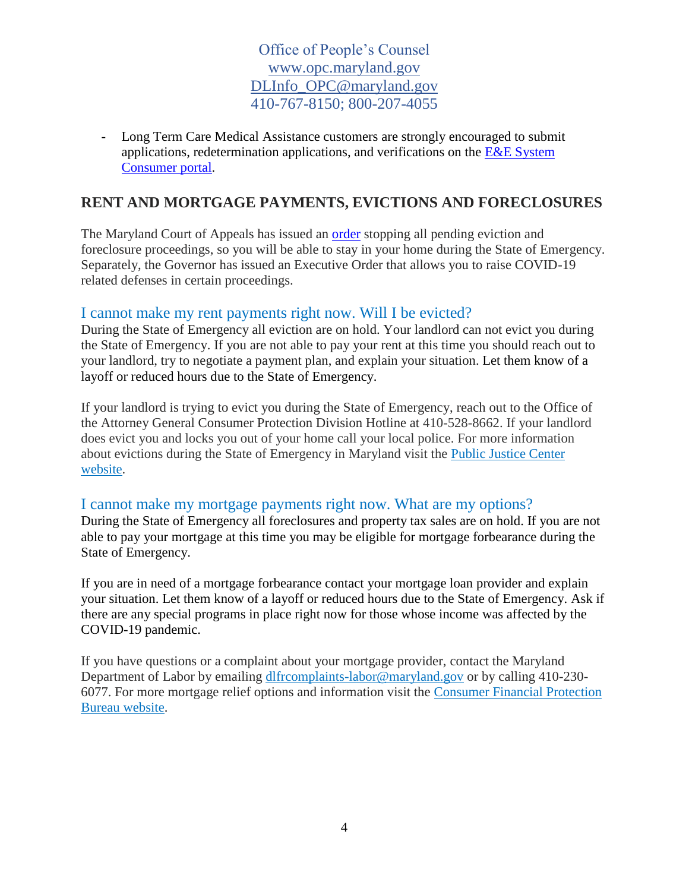- Long Term Care Medical Assistance customers are strongly encouraged to submit applications, redetermination applications, and verifications on the  $E&E$  System [Consumer portal.](https://mymdthink.maryland.gov/)

#### **RENT AND MORTGAGE PAYMENTS, EVICTIONS AND FORECLOSURES**

The Maryland Court of Appeals has issued an [order](https://governor.maryland.gov/wp-content/uploads/2020/04/Evictions-Repossessions-Foreclosure-AMENDED-4.3.20.pdf) stopping all pending eviction and foreclosure proceedings, so you will be able to stay in your home during the State of Emergency. Separately, the Governor has issued an Executive Order that allows you to raise COVID-19 related defenses in certain proceedings.

#### I cannot make my rent payments right now. Will I be evicted?

During the State of Emergency all eviction are on hold. Your landlord can not evict you during the State of Emergency. If you are not able to pay your rent at this time you should reach out to your landlord, try to negotiate a payment plan, and explain your situation. Let them know of a layoff or reduced hours due to the State of Emergency.

If your landlord is trying to evict you during the State of Emergency, reach out to the Office of the Attorney General Consumer Protection Division Hotline at 410-528-8662. If your landlord does evict you and locks you out of your home call your local police. For more information about evictions during the State of Emergency in Maryland visit the [Public Justice Center](http://www.publicjustice.org/en/legal_help/housing-and-covid-19/)  [website.](http://www.publicjustice.org/en/legal_help/housing-and-covid-19/)

#### I cannot make my mortgage payments right now. What are my options?

During the State of Emergency all foreclosures and property tax sales are on hold. If you are not able to pay your mortgage at this time you may be eligible for mortgage forbearance during the State of Emergency.

If you are in need of a mortgage forbearance contact your mortgage loan provider and explain your situation. Let them know of a layoff or reduced hours due to the State of Emergency. Ask if there are any special programs in place right now for those whose income was affected by the COVID-19 pandemic.

If you have questions or a complaint about your mortgage provider, contact the Maryland Department of Labor by emailing [dlfrcomplaints-labor@maryland.gov](mailto:dlfrcomplaints-labor@maryland.gov) or by calling 410-230- 6077. For more mortgage relief options and information visit the [Consumer Financial Protection](https://www.consumerfinance.gov/about-us/blog/guide-coronavirus-mortgage-relief-options/)  [Bureau website.](https://www.consumerfinance.gov/about-us/blog/guide-coronavirus-mortgage-relief-options/)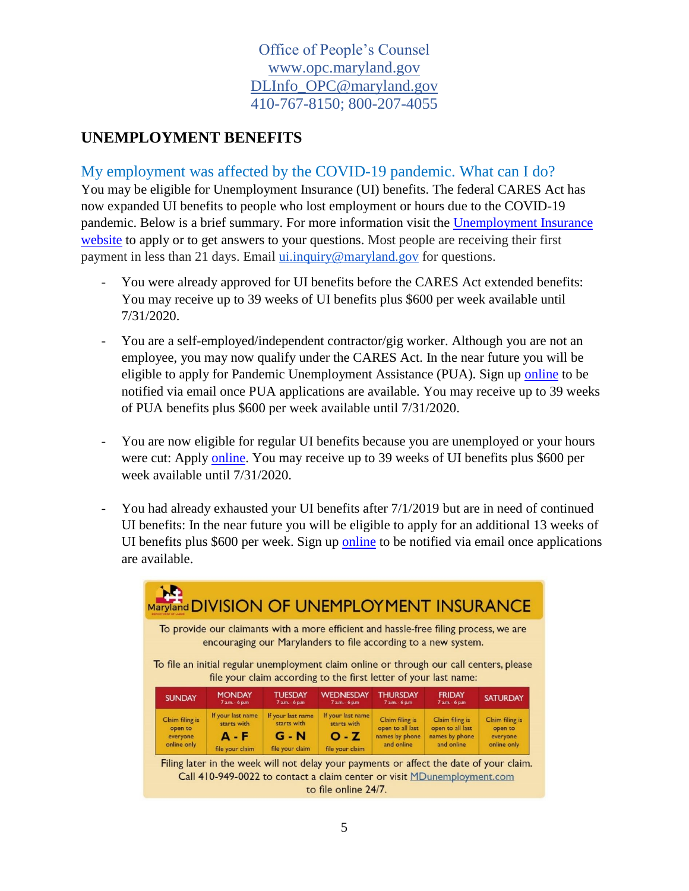#### **UNEMPLOYMENT BENEFITS**

My employment was affected by the COVID-19 pandemic. What can I do?

You may be eligible for Unemployment Insurance (UI) benefits. The federal CARES Act has now expanded UI benefits to people who lost employment or hours due to the COVID-19 pandemic. Below is a brief summary. For more information visit the [Unemployment Insurance](https://www.dllr.state.md.us/employment/claimfaq.shtml)  [website](https://www.dllr.state.md.us/employment/claimfaq.shtml) to apply or to get answers to your questions. Most people are receiving their first payment in less than 21 days. Email [ui.inquiry@maryland.gov](mailto:ui.inquiry@maryland.gov) for questions.

- You were already approved for UI benefits before the CARES Act extended benefits: You may receive up to 39 weeks of UI benefits plus \$600 per week available until 7/31/2020.
- You are a self-employed/independent contractor/gig worker. Although you are not an employee, you may now qualify under the CARES Act. In the near future you will be eligible to apply for Pandemic Unemployment Assistance (PUA). Sign up [online](https://www.dllr.state.md.us/employment/unemployment.shtml) to be notified via email once PUA applications are available. You may receive up to 39 weeks of PUA benefits plus \$600 per week available until 7/31/2020.
- You are now eligible for regular UI benefits because you are unemployed or your hours were cut: Apply [online.](https://www.dllr.state.md.us/employment/unemployment.shtml) You may receive up to 39 weeks of UI benefits plus \$600 per week available until 7/31/2020.
- You had already exhausted your UI benefits after  $7/1/2019$  but are in need of continued UI benefits: In the near future you will be eligible to apply for an additional 13 weeks of UI benefits plus \$600 per week. Sign up [online](https://www.dllr.state.md.us/employment/unemployment.shtml) to be notified via email once applications are available.

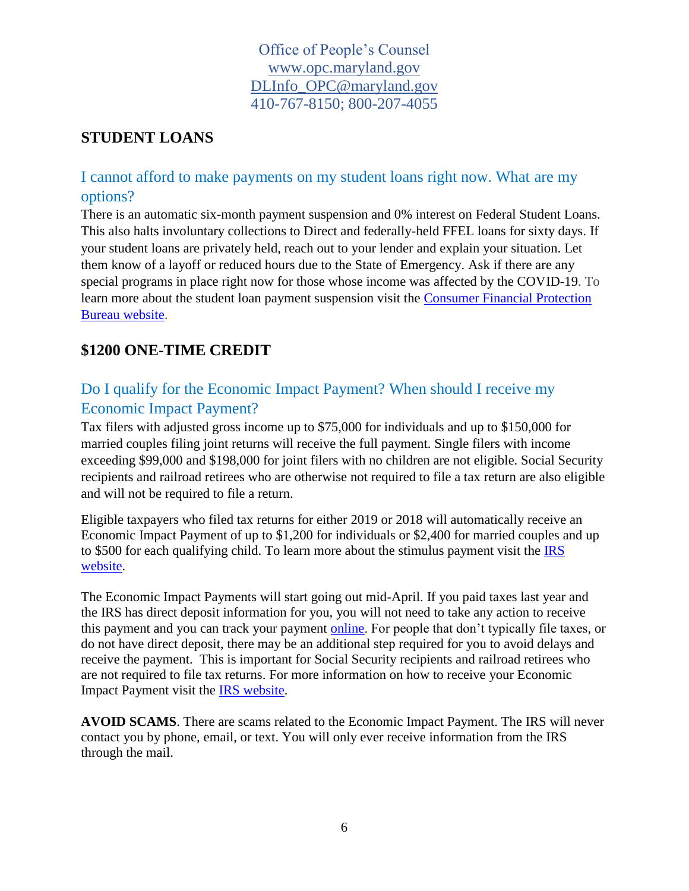## **STUDENT LOANS**

## I cannot afford to make payments on my student loans right now. What are my options?

There is an automatic six-month payment suspension and 0% interest on Federal Student Loans. This also halts involuntary collections to Direct and federally-held FFEL loans for sixty days. If your student loans are privately held, reach out to your lender and explain your situation. Let them know of a layoff or reduced hours due to the State of Emergency. Ask if there are any special programs in place right now for those whose income was affected by the COVID-19. To learn more about the student loan payment suspension visit the [Consumer Financial Protection](https://www.consumerfinance.gov/about-us/blog/what-you-need-to-know-about-student-loans-and-coronavirus-pandemic/)  [Bureau website.](https://www.consumerfinance.gov/about-us/blog/what-you-need-to-know-about-student-loans-and-coronavirus-pandemic/)

## **\$1200 ONE-TIME CREDIT**

# Do I qualify for the Economic Impact Payment? When should I receive my Economic Impact Payment?

Tax filers with adjusted gross income up to \$75,000 for individuals and up to \$150,000 for married couples filing joint returns will receive the full payment. Single filers with income exceeding \$99,000 and \$198,000 for joint filers with no children are not eligible. Social Security recipients and railroad retirees who are otherwise not required to file a tax return are also eligible and will not be required to file a return.

Eligible taxpayers who filed tax returns for either 2019 or 2018 will automatically receive an Economic Impact Payment of up to \$1,200 for individuals or \$2,400 for married couples and up to \$500 for each qualifying child. To learn more about the stimulus payment visit the [IRS](https://www.irs.gov/newsroom/economic-impact-payments-what-you-need-to-know)  [website.](https://www.irs.gov/newsroom/economic-impact-payments-what-you-need-to-know)

The Economic Impact Payments will start going out mid-April. If you paid taxes last year and the IRS has direct deposit information for you, you will not need to take any action to receive this payment and you can track your payment [online.](https://www.irs.gov/coronavirus/economic-impact-payments) For people that don't typically file taxes, or do not have direct deposit, there may be an additional step required for you to avoid delays and receive the payment. This is important for Social Security recipients and railroad retirees who are not required to file tax returns. For more information on how to receive your Economic Impact Payment visit the [IRS website.](https://www.irs.gov/coronavirus/economic-impact-payments)

**AVOID SCAMS**. There are scams related to the Economic Impact Payment. The IRS will never contact you by phone, email, or text. You will only ever receive information from the IRS through the mail.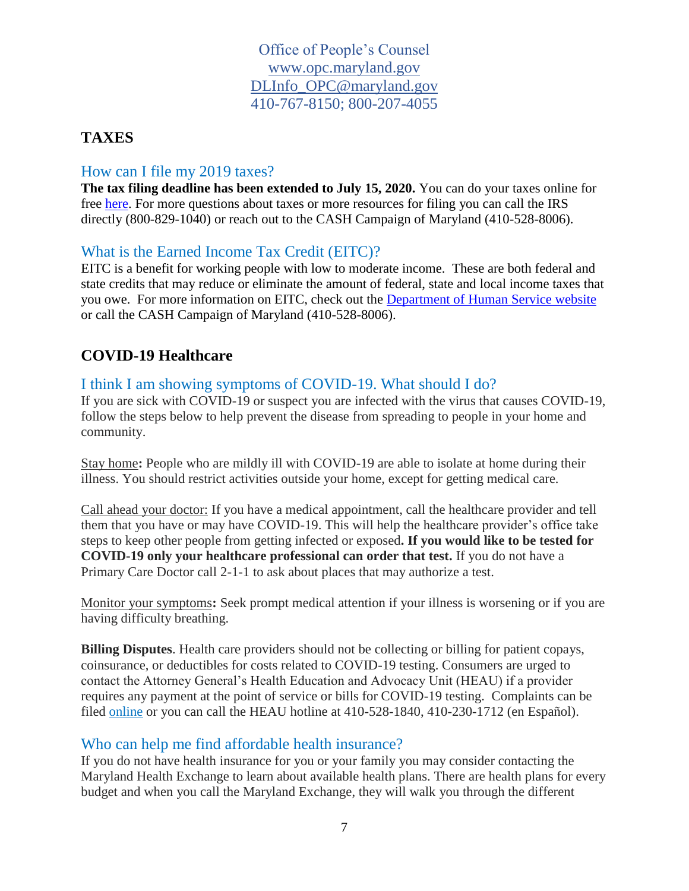#### **TAXES**

#### How can I file my 2019 taxes?

**The tax filing deadline has been extended to July 15, 2020.** You can do your taxes online for free [here.](https://freefile.intuit.com/?vitaSiteId=S15091527) For more questions about taxes or more resources for filing you can call the IRS directly (800-829-1040) or reach out to the CASH Campaign of Maryland (410-528-8006).

#### What is the Earned Income Tax Credit (EITC)?

EITC is a benefit for working people with low to moderate income. These are both federal and state credits that may reduce or eliminate the amount of federal, state and local income taxes that you owe. For more information on EITC, check out the [Department of Human Service website](http://dhs.maryland.gov/weathering-tough-times/earned-income-tax-credit/) or call the CASH Campaign of Maryland (410-528-8006).

## **COVID-19 Healthcare**

#### I think I am showing symptoms of COVID-19. What should I do?

If you are sick with COVID-19 or suspect you are infected with the virus that causes COVID-19, follow the steps below to help prevent the disease from spreading to people in your home and community.

Stay home**:** People who are mildly ill with COVID-19 are able to isolate at home during their illness. You should restrict activities outside your home, except for getting medical care.

Call ahead your doctor: If you have a medical appointment, call the healthcare provider and tell them that you have or may have COVID-19. This will help the healthcare provider's office take steps to keep other people from getting infected or exposed**. If you would like to be tested for COVID-19 only your healthcare professional can order that test.** If you do not have a Primary Care Doctor call 2-1-1 to ask about places that may authorize a test.

Monitor your symptoms**:** Seek prompt medical attention if your illness is worsening or if you are having difficulty breathing.

**Billing Disputes**. Health care providers should not be collecting or billing for patient copays, coinsurance, or deductibles for costs related to COVID-19 testing. Consumers are urged to contact the Attorney General's Health Education and Advocacy Unit (HEAU) if a provider requires any payment at the point of service or bills for COVID-19 testing. Complaints can be filed [online](http://www.marylandcares.org/) or you can call the HEAU hotline at 410-528-1840, 410-230-1712 (en Español).

#### Who can help me find affordable health insurance?

If you do not have health insurance for you or your family you may consider contacting the Maryland Health Exchange to learn about available health plans. There are health plans for every budget and when you call the Maryland Exchange, they will walk you through the different